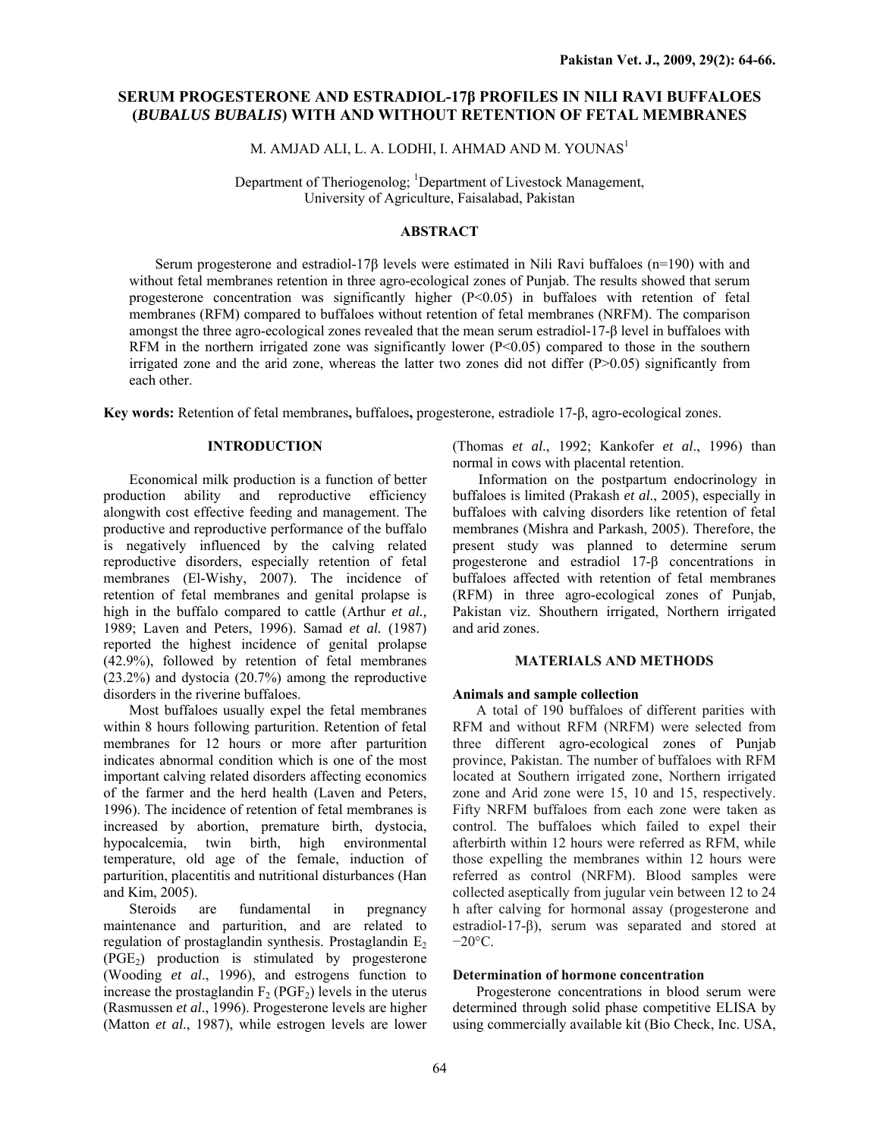# **SERUM PROGESTERONE AND ESTRADIOL-17β PROFILES IN NILI RAVI BUFFALOES (***BUBALUS BUBALIS***) WITH AND WITHOUT RETENTION OF FETAL MEMBRANES**

M. AMJAD ALI, L. A. LODHI, I. AHMAD AND M. YOUNAS<sup>1</sup>

Department of Theriogenolog; <sup>1</sup>Department of Livestock Management, University of Agriculture, Faisalabad, Pakistan

## **ABSTRACT**

Serum progesterone and estradiol-17β levels were estimated in Nili Ravi buffaloes (n=190) with and without fetal membranes retention in three agro-ecological zones of Punjab. The results showed that serum progesterone concentration was significantly higher (P<0.05) in buffaloes with retention of fetal membranes (RFM) compared to buffaloes without retention of fetal membranes (NRFM). The comparison amongst the three agro-ecological zones revealed that the mean serum estradiol-17-β level in buffaloes with RFM in the northern irrigated zone was significantly lower (P<0.05) compared to those in the southern irrigated zone and the arid zone, whereas the latter two zones did not differ  $(P>0.05)$  significantly from each other.

**Key words:** Retention of fetal membranes**,** buffaloes**,** progesterone, estradiole 17-β, agro-ecological zones.

## **INTRODUCTION**

Economical milk production is a function of better production ability and reproductive efficiency alongwith cost effective feeding and management. The productive and reproductive performance of the buffalo is negatively influenced by the calving related reproductive disorders, especially retention of fetal membranes (El-Wishy, 2007). The incidence of retention of fetal membranes and genital prolapse is high in the buffalo compared to cattle (Arthur *et al.,* 1989; Laven and Peters, 1996). Samad *et al.* (1987) reported the highest incidence of genital prolapse (42.9%), followed by retention of fetal membranes (23.2%) and dystocia (20.7%) among the reproductive disorders in the riverine buffaloes.

Most buffaloes usually expel the fetal membranes within 8 hours following parturition. Retention of fetal membranes for 12 hours or more after parturition indicates abnormal condition which is one of the most important calving related disorders affecting economics of the farmer and the herd health (Laven and Peters, 1996). The incidence of retention of fetal membranes is increased by abortion, premature birth, dystocia, hypocalcemia, twin birth, high environmental temperature, old age of the female, induction of parturition, placentitis and nutritional disturbances (Han and Kim, 2005).

Steroids are fundamental in pregnancy maintenance and parturition, and are related to regulation of prostaglandin synthesis. Prostaglandin  $E_2$  $(PGE<sub>2</sub>)$  production is stimulated by progesterone (Wooding *et al*., 1996), and estrogens function to increase the prostaglandin  $F_2$  (PGF<sub>2</sub>) levels in the uterus (Rasmussen *et al*., 1996). Progesterone levels are higher (Matton *et al*., 1987), while estrogen levels are lower

(Thomas *et al*., 1992; Kankofer *et al*., 1996) than normal in cows with placental retention.

Information on the postpartum endocrinology in buffaloes is limited (Prakash *et al*., 2005), especially in buffaloes with calving disorders like retention of fetal membranes (Mishra and Parkash, 2005). Therefore, the present study was planned to determine serum progesterone and estradiol 17-β concentrations in buffaloes affected with retention of fetal membranes (RFM) in three agro-ecological zones of Punjab, Pakistan viz. Shouthern irrigated, Northern irrigated and arid zones.

#### **MATERIALS AND METHODS**

### **Animals and sample collection**

A total of 190 buffaloes of different parities with RFM and without RFM (NRFM) were selected from three different agro-ecological zones of Punjab province, Pakistan. The number of buffaloes with RFM located at Southern irrigated zone, Northern irrigated zone and Arid zone were 15, 10 and 15, respectively. Fifty NRFM buffaloes from each zone were taken as control. The buffaloes which failed to expel their afterbirth within 12 hours were referred as RFM, while those expelling the membranes within 12 hours were referred as control (NRFM). Blood samples were collected aseptically from jugular vein between 12 to 24 h after calving for hormonal assay (progesterone and estradiol-17-β), serum was separated and stored at  $-20$ °C.

#### **Determination of hormone concentration**

Progesterone concentrations in blood serum were determined through solid phase competitive ELISA by using commercially available kit (Bio Check, Inc. USA,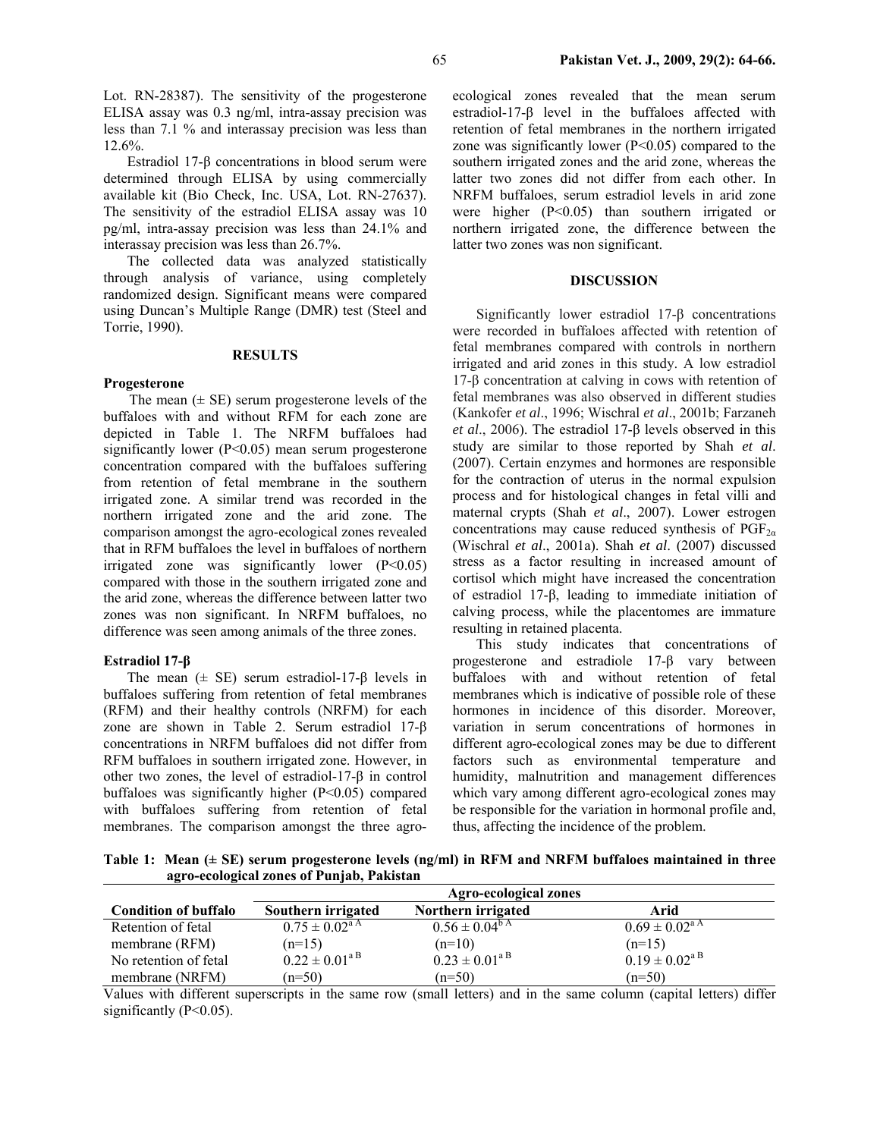Lot. RN-28387). The sensitivity of the progesterone ELISA assay was 0.3 ng/ml, intra-assay precision was less than 7.1 % and interassay precision was less than 12.6%.

Estradiol 17-β concentrations in blood serum were determined through ELISA by using commercially available kit (Bio Check, Inc. USA, Lot. RN-27637). The sensitivity of the estradiol ELISA assay was 10 pg/ml, intra-assay precision was less than 24.1% and interassay precision was less than 26.7%.

The collected data was analyzed statistically through analysis of variance, using completely randomized design. Significant means were compared using Duncan's Multiple Range (DMR) test (Steel and Torrie, 1990).

#### **RESULTS**

## **Progesterone**

The mean  $(\pm \text{ SE})$  serum progesterone levels of the buffaloes with and without RFM for each zone are depicted in Table 1. The NRFM buffaloes had significantly lower (P<0.05) mean serum progesterone concentration compared with the buffaloes suffering from retention of fetal membrane in the southern irrigated zone. A similar trend was recorded in the northern irrigated zone and the arid zone. The comparison amongst the agro-ecological zones revealed that in RFM buffaloes the level in buffaloes of northern irrigated zone was significantly lower  $(P<0.05)$ compared with those in the southern irrigated zone and the arid zone, whereas the difference between latter two zones was non significant. In NRFM buffaloes, no difference was seen among animals of the three zones.

#### **Estradiol 17-β**

The mean  $(\pm \text{ SE})$  serum estradiol-17- $\beta$  levels in buffaloes suffering from retention of fetal membranes (RFM) and their healthy controls (NRFM) for each zone are shown in Table 2. Serum estradiol 17-β concentrations in NRFM buffaloes did not differ from RFM buffaloes in southern irrigated zone. However, in other two zones, the level of estradiol-17-β in control buffaloes was significantly higher (P<0.05) compared with buffaloes suffering from retention of fetal membranes. The comparison amongst the three agroecological zones revealed that the mean serum estradiol-17-β level in the buffaloes affected with retention of fetal membranes in the northern irrigated zone was significantly lower  $(P<0.05)$  compared to the southern irrigated zones and the arid zone, whereas the latter two zones did not differ from each other. In NRFM buffaloes, serum estradiol levels in arid zone were higher (P<0.05) than southern irrigated or northern irrigated zone, the difference between the latter two zones was non significant.

### **DISCUSSION**

Significantly lower estradiol 17-β concentrations were recorded in buffaloes affected with retention of fetal membranes compared with controls in northern irrigated and arid zones in this study. A low estradiol 17-β concentration at calving in cows with retention of fetal membranes was also observed in different studies (Kankofer *et al*., 1996; Wischral *et al*., 2001b; Farzaneh *et al*., 2006). The estradiol 17-β levels observed in this study are similar to those reported by Shah *et al*. (2007). Certain enzymes and hormones are responsible for the contraction of uterus in the normal expulsion process and for histological changes in fetal villi and maternal crypts (Shah *et al*., 2007). Lower estrogen concentrations may cause reduced synthesis of  $PGF_{2a}$ (Wischral *et al*., 2001a). Shah *et al*. (2007) discussed stress as a factor resulting in increased amount of cortisol which might have increased the concentration of estradiol 17-β, leading to immediate initiation of calving process, while the placentomes are immature resulting in retained placenta.

This study indicates that concentrations of progesterone and estradiole 17-β vary between buffaloes with and without retention of fetal membranes which is indicative of possible role of these hormones in incidence of this disorder. Moreover, variation in serum concentrations of hormones in different agro-ecological zones may be due to different factors such as environmental temperature and humidity, malnutrition and management differences which vary among different agro-ecological zones may be responsible for the variation in hormonal profile and, thus, affecting the incidence of the problem.

**Table 1: Mean (± SE) serum progesterone levels (ng/ml) in RFM and NRFM buffaloes maintained in three agro-ecological zones of Punjab, Pakistan**

|                             | <b>Agro-ecological zones</b> |                              |                              |
|-----------------------------|------------------------------|------------------------------|------------------------------|
| <b>Condition of buffalo</b> | Southern irrigated           | Northern irrigated           | Arid                         |
| Retention of fetal          | $0.75 \pm 0.02^{\text{a A}}$ | $0.56 \pm 0.04^{\rm b \, A}$ | $0.69 \pm 0.02^{\text{a A}}$ |
| membrane (RFM)              | $(n=15)$                     | $(n=10)$                     | $(n=15)$                     |
| No retention of fetal       | $0.22 \pm 0.01^{\text{a B}}$ | $0.23 \pm 0.01^{a B}$        | $0.19 \pm 0.02^{\text{a B}}$ |
| membrane (NRFM)             | $(n=50)$                     | $(n=50)$                     | $(n=50)$                     |

Values with different superscripts in the same row (small letters) and in the same column (capital letters) differ significantly  $(P<0.05)$ .